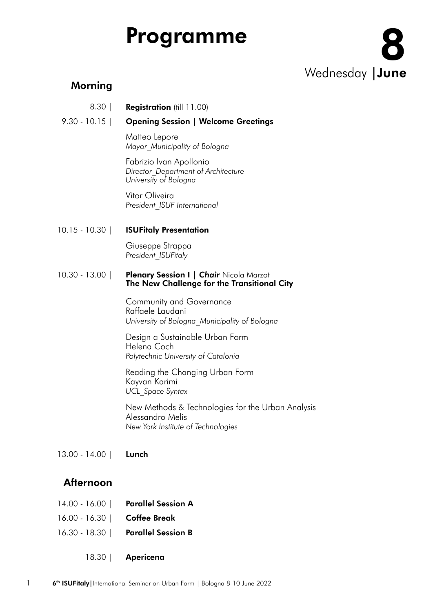# Programme

Wednesday | June

### Morning

Registration (till 11.00) 8.30 |

#### Opening Session | Welcome Greetings 9.30 - 10.15 |

Matteo Lepore *Mayor\_Municipality of Bologna*

Fabrizio Ivan Apollonio *Director\_Department of Architecture University of Bologna*

Vitor Oliveira *President\_ISUF International*

ISUFitaly Presentation 10.15 - 10.30 |

> Giuseppe Strappa *President\_ISUFitaly*

#### **Plenary Session I | Chair Nicola Marzot** The New Challenge for the Transitional City 10.30 - 13.00 |

Community and Governance Raffaele Laudani *University of Bologna\_Municipality of Bologna*

Design a Sustainable Urban Form Helena Coch *Polytechnic University of Catalonia*

Reading the Changing Urban Form Kayvan Karimi *UCL\_Space Syntax*

New Methods & Technologies for the Urban Analysis Alessandro Melis *New York Institute of Technologies*

Lunch 13.00 - 14.00 |

## Afternoon

- Parallel Session A 14.00 - 16.00 |
- Coffee Break 16.00 - 16.30 |
- Parallel Session B 16.30 - 18.30 |
	- Apericena 18.30 |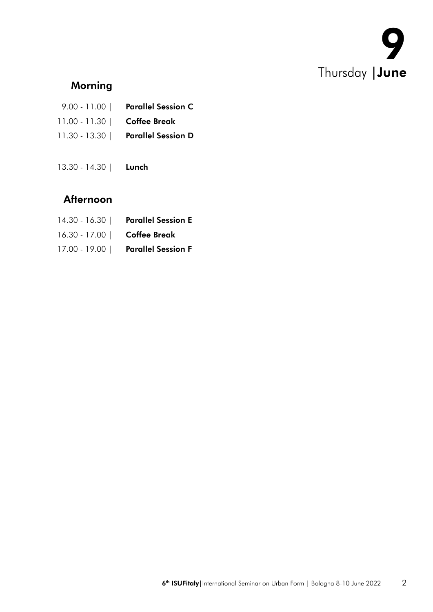

# Morning

|                              | 9.00 - 11.00   Parallel Session C  |
|------------------------------|------------------------------------|
| 11.00 - 11.30   Coffee Break |                                    |
|                              | 11.30 - 13.30   Parallel Session D |

Lunch 13.30 - 14.30 |

## Afternoon

| 14.30 - 16.30   Parallel Session E |
|------------------------------------|
| 16.30 - 17.00   Coffee Break       |
| 17.00 - 19.00   Parallel Session F |